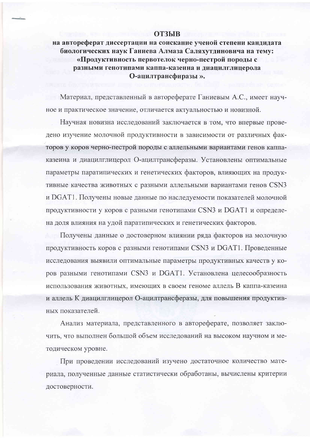## **ОТЗЫВ**

на автореферат диссертации на соискание ученой степени кандидата биологических наук Ганиева Алмаза Саляхутдиновича на тему: «Продуктивность первотелок черно-пестрой породы с разными генотипами каппа-казеина и диацилглицерола О-ацилтрансфиразы».

Материал, представленный в автореферате Ганиевым А.С., имеет научное и практическое значение, отличается актуальностью и новизной.

Научная новизна исследований заключается в том, что впервые проведено изучение молочной продуктивности в зависимости от различных факторов у коров черно-пестрой породы с аллельными вариантами генов каппаказеина и диацилглицерол О-ацилтрансферазы. Установлены оптимальные параметры паратипических и генетических факторов, влияющих на продуктивные качества животных с разными аллельными вариантами генов CSN3 и DGAT1. Получены новые данные по наследуемости показателей молочной продуктивности у коров с разными генотипами CSN3 и DGAT1 и определена доля влияния на удой паратипических и генетических факторов.

Получены данные о достоверном влиянии ряда факторов на молочную продуктивность коров с разными генотипами CSN3 и DGAT1. Проведенные исследования выявили оптимальные параметры продуктивных качеств у коров разными генотипами CSN3 и DGAT1. Установлена целесообразность использования животных, имеющих в своем геноме аллель В каппа-казеина и аллель К диацилглицерол О-ацилтрансферазы, для повышения продуктивных показателей.

Анализ материала, представленного в автореферате, позволяет заключить, что выполнен большой объем исследований на высоком научном и методическом уровне.

При проведении исследований изучено достаточное количество материала, полученные данные статистически обработаны, вычислены критерии достоверности.